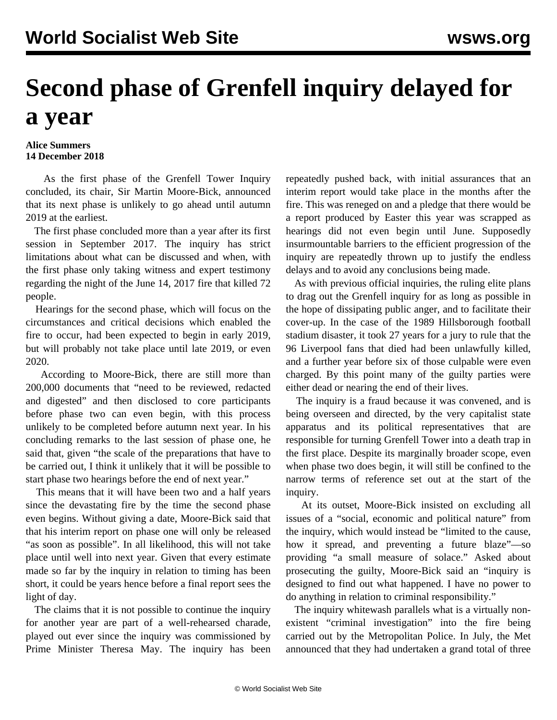## **Second phase of Grenfell inquiry delayed for a year**

## **Alice Summers 14 December 2018**

 As the first phase of the Grenfell Tower Inquiry concluded, its chair, Sir Martin Moore-Bick, announced that its next phase is unlikely to go ahead until autumn 2019 at the earliest.

 The first phase concluded more than a year after its first session in September 2017. The inquiry has strict limitations about what can be discussed and when, with the first phase only taking witness and expert testimony regarding the night of the June 14, 2017 fire that killed 72 people.

 Hearings for the second phase, which will focus on the circumstances and critical decisions which enabled the fire to occur, had been expected to begin in early 2019, but will probably not take place until late 2019, or even 2020.

 According to Moore-Bick, there are still more than 200,000 documents that "need to be reviewed, redacted and digested" and then disclosed to core participants before phase two can even begin, with this process unlikely to be completed before autumn next year. In his concluding remarks to the last session of phase one, he said that, given "the scale of the preparations that have to be carried out, I think it unlikely that it will be possible to start phase two hearings before the end of next year."

 This means that it will have been two and a half years since the devastating fire by the time the second phase even begins. Without giving a date, Moore-Bick said that that his interim report on phase one will only be released "as soon as possible". In all likelihood, this will not take place until well into next year. Given that every estimate made so far by the inquiry in relation to timing has been short, it could be years hence before a final report sees the light of day.

 The claims that it is not possible to continue the inquiry for another year are part of a well-rehearsed charade, played out ever since the inquiry was commissioned by Prime Minister Theresa May. The inquiry has been repeatedly pushed back, with initial assurances that an interim report would take place in the months after the fire. This was reneged on and a pledge that there would be a report produced by Easter this year was scrapped as hearings did not even begin until June. Supposedly insurmountable barriers to the efficient progression of the inquiry are repeatedly thrown up to justify the endless delays and to avoid any conclusions being made.

 As with previous official inquiries, the ruling elite plans to drag out the Grenfell inquiry for as long as possible in the hope of dissipating public anger, and to facilitate their cover-up. In the case of the 1989 Hillsborough football stadium disaster, it took 27 years for a jury to rule that the 96 Liverpool fans that died had been unlawfully killed, and a further year before six of those culpable were even charged. By this point many of the guilty parties were either dead or nearing the end of their lives.

 The inquiry is a fraud because it was convened, and is being overseen and directed, by the very capitalist state apparatus and its political representatives that are responsible for turning Grenfell Tower into a death trap in the first place. Despite its marginally broader scope, even when phase two does begin, it will still be confined to the narrow terms of reference set out at the start of the inquiry.

 At its outset, Moore-Bick insisted on excluding all issues of a "social, economic and political nature" from the inquiry, which would instead be "limited to the cause, how it spread, and preventing a future blaze"—so providing "a small measure of solace." Asked about prosecuting the guilty, Moore-Bick said an "inquiry is designed to find out what happened. I have no power to do anything in relation to criminal responsibility."

 The inquiry whitewash parallels what is a virtually nonexistent "criminal investigation" into the fire being carried out by the Metropolitan Police. In July, the Met announced that they had undertaken a grand total of three